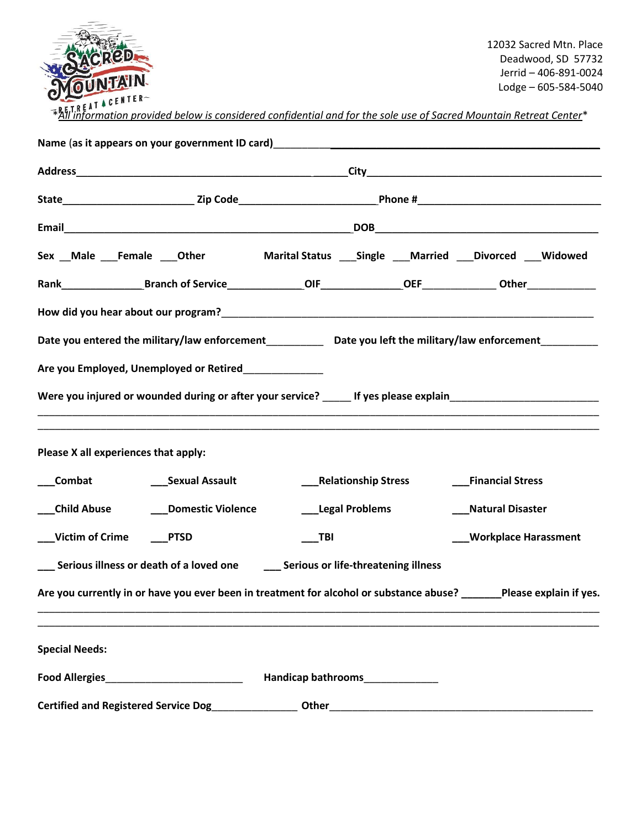

12032 Sacred Mtn. Place Deadwood, SD 57732 Jerrid – 406-891-0024 Lodge – 605-584-5040

\**All information provided below is considered confidential and for the sole use of Sacred Mountain Retreat Center*\*

|                                                                                                                   | Name (as it appears on your government ID card) _________________________________   |       |                                              |                                                                                                                      |  |  |  |  |
|-------------------------------------------------------------------------------------------------------------------|-------------------------------------------------------------------------------------|-------|----------------------------------------------|----------------------------------------------------------------------------------------------------------------------|--|--|--|--|
|                                                                                                                   |                                                                                     |       |                                              |                                                                                                                      |  |  |  |  |
|                                                                                                                   |                                                                                     |       |                                              |                                                                                                                      |  |  |  |  |
|                                                                                                                   |                                                                                     |       |                                              |                                                                                                                      |  |  |  |  |
|                                                                                                                   |                                                                                     |       |                                              | Sex Male Female Other Marital Status Single Married Divorced Widowed                                                 |  |  |  |  |
|                                                                                                                   |                                                                                     |       |                                              |                                                                                                                      |  |  |  |  |
|                                                                                                                   |                                                                                     |       |                                              |                                                                                                                      |  |  |  |  |
| Date you entered the military/law enforcement_______________ Date you left the military/law enforcement__________ |                                                                                     |       |                                              |                                                                                                                      |  |  |  |  |
|                                                                                                                   | Are you Employed, Unemployed or Retired                                             |       |                                              |                                                                                                                      |  |  |  |  |
|                                                                                                                   |                                                                                     |       |                                              | Were you injured or wounded during or after your service? _____ If yes please explain_________________________       |  |  |  |  |
| Please X all experiences that apply:                                                                              |                                                                                     |       |                                              |                                                                                                                      |  |  |  |  |
|                                                                                                                   |                                                                                     |       | ___Relationship Stress                       | ___Financial Stress                                                                                                  |  |  |  |  |
|                                                                                                                   | ___Child Abuse __________Domestic Violence                                          |       | ___Legal Problems                            | ___Natural Disaster                                                                                                  |  |  |  |  |
| ___Victim of Crime                                                                                                | $\rule{1em}{0.15mm} - ^{p}$                                                         | TBI   |                                              | ___Workplace Harassment                                                                                              |  |  |  |  |
|                                                                                                                   | __ Serious illness or death of a loved one __ _ Serious or life-threatening illness |       |                                              |                                                                                                                      |  |  |  |  |
|                                                                                                                   |                                                                                     |       |                                              | Are you currently in or have you ever been in treatment for alcohol or substance abuse? ______Please explain if yes. |  |  |  |  |
| <b>Special Needs:</b>                                                                                             |                                                                                     |       |                                              |                                                                                                                      |  |  |  |  |
|                                                                                                                   |                                                                                     |       | Handicap bathrooms <b>Handicap bathrooms</b> |                                                                                                                      |  |  |  |  |
| <b>Certified and Registered Service Dog</b>                                                                       |                                                                                     | Other |                                              |                                                                                                                      |  |  |  |  |